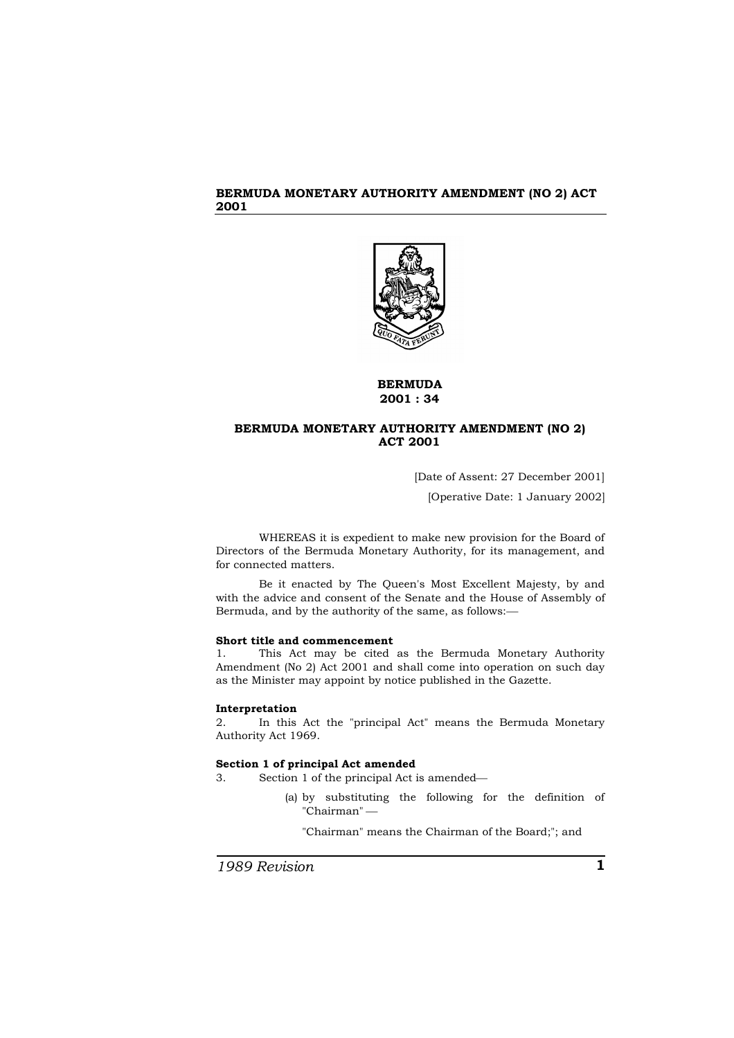

# **BERMUDA 2001 : 34**

# **BERMUDA MONETARY AUTHORITY AMENDMENT (NO 2) ACT 2001**

[Date of Assent: 27 December 2001] [Operative Date: 1 January 2002]

WHEREAS it is expedient to make new provision for the Board of Directors of the Bermuda Monetary Authority, for its management, and for connected matters.

Be it enacted by The Queen's Most Excellent Majesty, by and with the advice and consent of the Senate and the House of Assembly of Bermuda, and by the authority of the same, as follows:

### **Short title and commencement**

1. This Act may be cited as the Bermuda Monetary Authority Amendment (No 2) Act 2001 and shall come into operation on such day as the Minister may appoint by notice published in the Gazette.

### **Interpretation**

2. In this Act the "principal Act" means the Bermuda Monetary Authority Act 1969.

#### **Section 1 of principal Act amended**

- 3. Section 1 of the principal Act is amended
	- (a) by substituting the following for the definition of "Chairman"

"Chairman" means the Chairman of the Board;"; and

*1989 Revision* **1**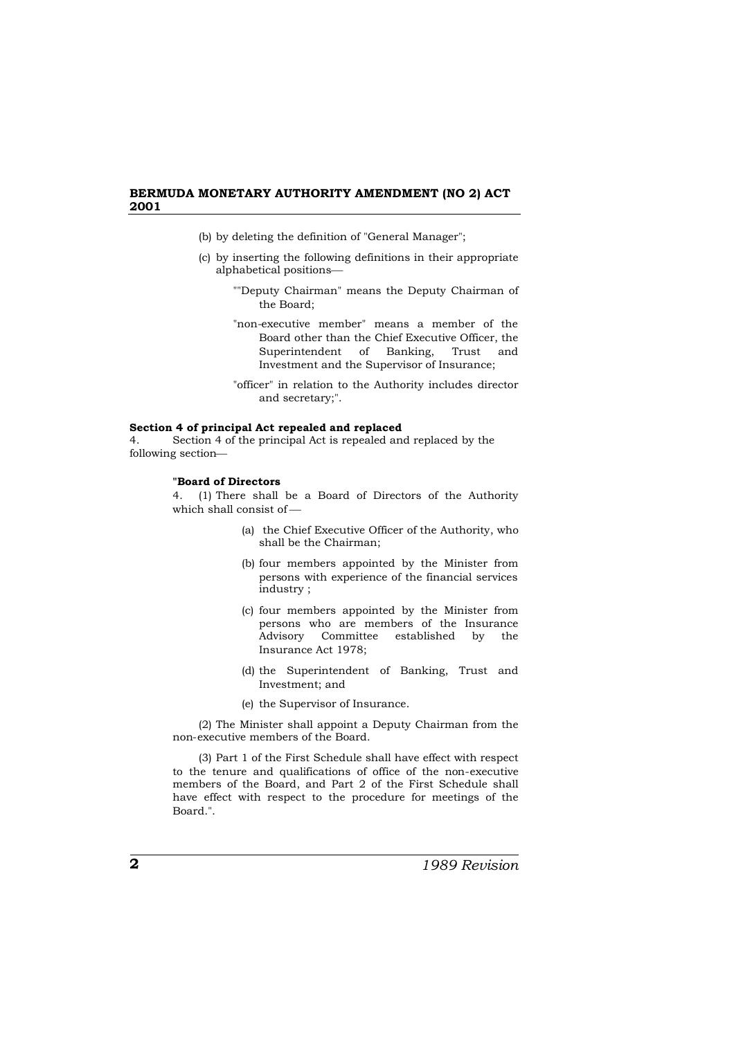- (b) by deleting the definition of "General Manager";
- (c) by inserting the following definitions in their appropriate alphabetical positions
	- ""Deputy Chairman" means the Deputy Chairman of the Board;
	- "non-executive member" means a member of the Board other than the Chief Executive Officer, the Superintendent of Banking, Trust and Investment and the Supervisor of Insurance;
	- "officer" in relation to the Authority includes director and secretary;".

#### **Section 4 of principal Act repealed and replaced**

4. Section 4 of the principal Act is repealed and replaced by the following section

## **"Board of Directors**

4. (1) There shall be a Board of Directors of the Authority which shall consist of

- (a) the Chief Executive Officer of the Authority, who shall be the Chairman;
- (b) four members appointed by the Minister from persons with experience of the financial services industry ;
- (c) four members appointed by the Minister from persons who are members of the Insurance Advisory Committee established by the Insurance Act 1978;
- (d) the Superintendent of Banking, Trust and Investment; and
- (e) the Supervisor of Insurance.

(2) The Minister shall appoint a Deputy Chairman from the non-executive members of the Board.

(3) Part 1 of the First Schedule shall have effect with respect to the tenure and qualifications of office of the non-executive members of the Board, and Part 2 of the First Schedule shall have effect with respect to the procedure for meetings of the Board.".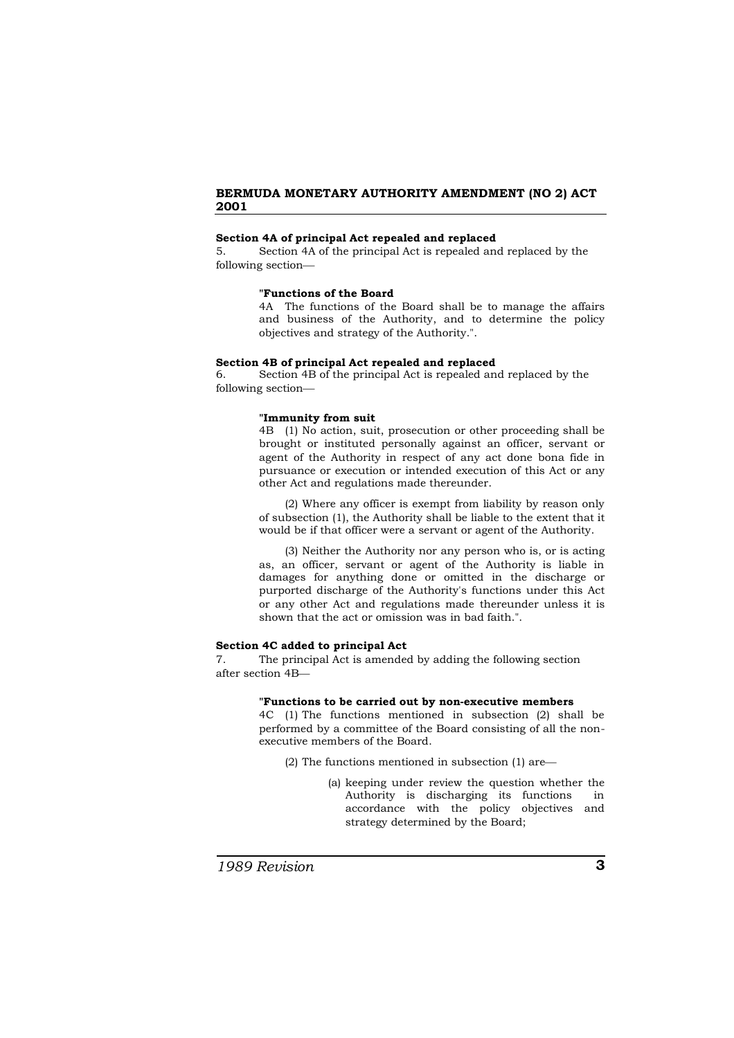## **Section 4A of principal Act repealed and replaced**

5. Section 4A of the principal Act is repealed and replaced by the following section

#### **"Functions of the Board**

4A The functions of the Board shall be to manage the affairs and business of the Authority, and to determine the policy objectives and strategy of the Authority.".

#### **Section 4B of principal Act repealed and replaced**

6. Section 4B of the principal Act is repealed and replaced by the following section

### **"Immunity from suit**

4B (1) No action, suit, prosecution or other proceeding shall be brought or instituted personally against an officer, servant or agent of the Authority in respect of any act done bona fide in pursuance or execution or intended execution of this Act or any other Act and regulations made thereunder.

(2) Where any officer is exempt from liability by reason only of subsection (1), the Authority shall be liable to the extent that it would be if that officer were a servant or agent of the Authority.

(3) Neither the Authority nor any person who is, or is acting as, an officer, servant or agent of the Authority is liable in damages for anything done or omitted in the discharge or purported discharge of the Authority's functions under this Act or any other Act and regulations made thereunder unless it is shown that the act or omission was in bad faith.".

#### **Section 4C added to principal Act**

7. The principal Act is amended by adding the following section after section 4B

#### **"Functions to be carried out by non-executive members**

4C (1) The functions mentioned in subsection (2) shall be performed by a committee of the Board consisting of all the nonexecutive members of the Board.

- (2) The functions mentioned in subsection (1) are
	- (a) keeping under review the question whether the Authority is discharging its functions in accordance with the policy objectives and strategy determined by the Board;

*1989 Revision* **3**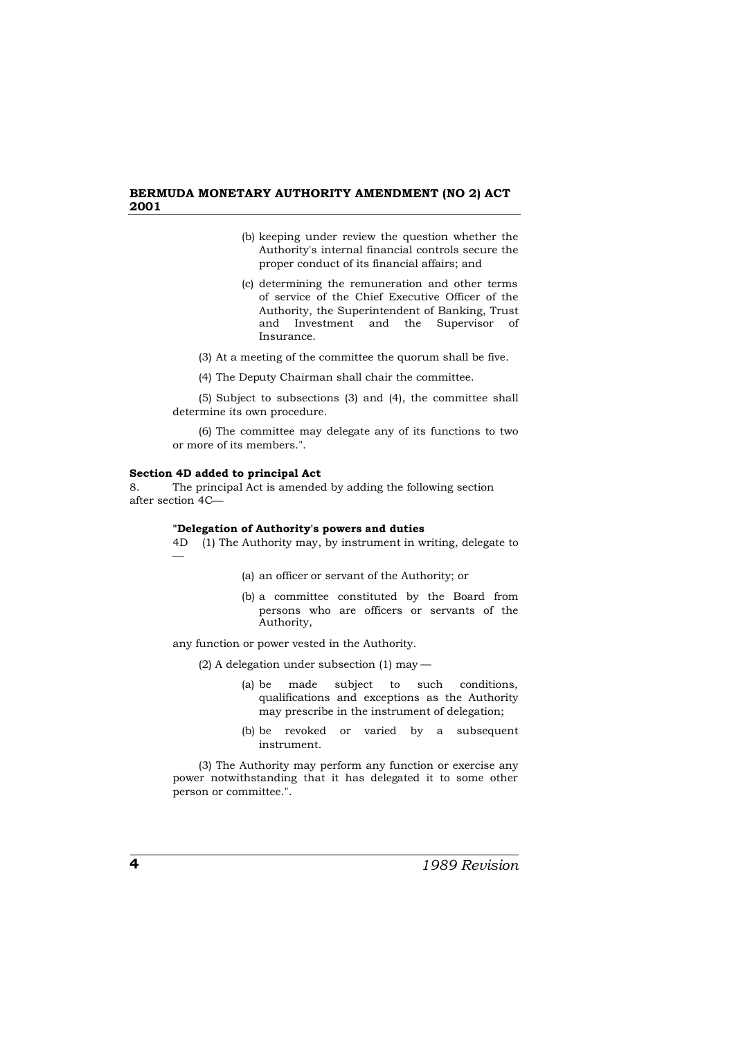- (b) keeping under review the question whether the Authority's internal financial controls secure the proper conduct of its financial affairs; and
- (c) determining the remuneration and other terms of service of the Chief Executive Officer of the Authority, the Superintendent of Banking, Trust and Investment and the Supervisor of Insurance.
- (3) At a meeting of the committee the quorum shall be five.
- (4) The Deputy Chairman shall chair the committee.

(5) Subject to subsections (3) and (4), the committee shall determine its own procedure.

(6) The committee may delegate any of its functions to two or more of its members.".

#### **Section 4D added to principal Act**

8. The principal Act is amended by adding the following section after section 4C

#### **"Delegation of Authority's powers and duties**

4D (1) The Authority may, by instrument in writing, delegate to  $\overline{\phantom{0}}$ 

- (a) an officer or servant of the Authority; or
- (b) a committee constituted by the Board from persons who are officers or servants of the Authority,

any function or power vested in the Authority.

(2) A delegation under subsection (1) may —

- (a) be made subject to such conditions, qualifications and exceptions as the Authority may prescribe in the instrument of delegation;
- (b) be revoked or varied by a subsequent instrument.

(3) The Authority may perform any function or exercise any power notwithstanding that it has delegated it to some other person or committee.".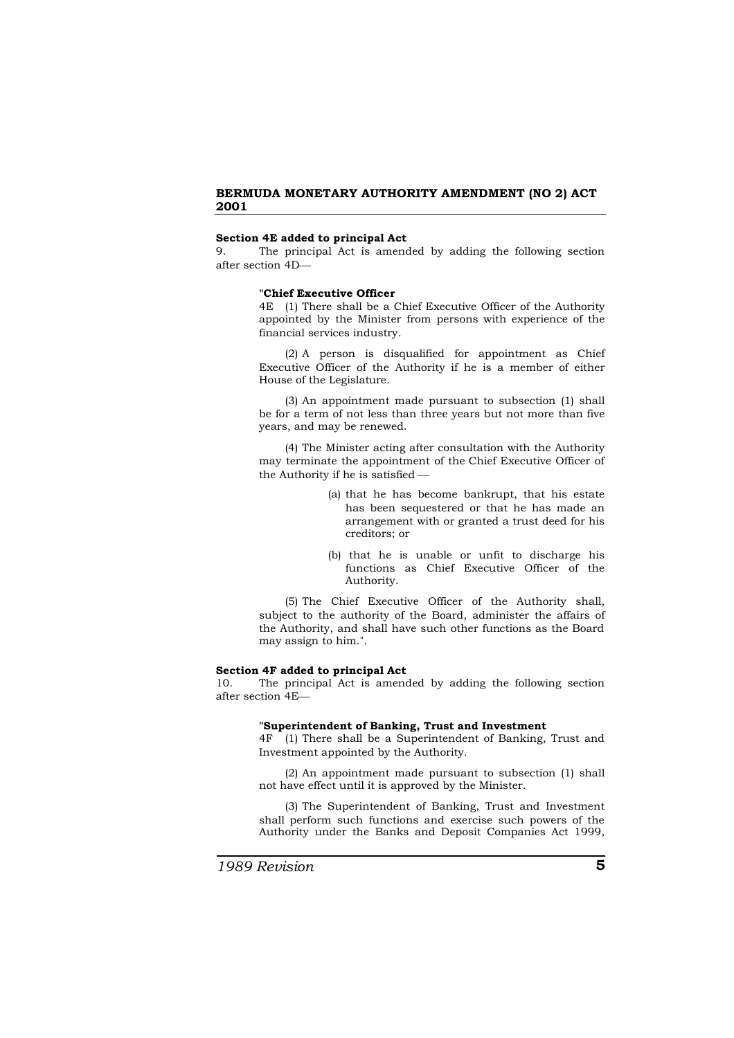### **Section 4E added to principal Act**

9. The principal Act is amended by adding the following section after section 4D

#### **"Chief Executive Officer**

4E (1) There shall be a Chief Executive Officer of the Authority appointed by the Minister from persons with experience of the financial services industry.

(2) A person is disqualified for appointment as Chief Executive Officer of the Authority if he is a member of either House of the Legislature.

(3) An appointment made pursuant to subsection (1) shall be for a term of not less than three years but not more than five years, and may be renewed.

(4) The Minister acting after consultation with the Authority may terminate the appointment of the Chief Executive Officer of the Authority if he is satisfied

- (a) that he has become bankrupt, that his estate has been sequestered or that he has made an arrangement with or granted a trust deed for his creditors; or
- (b) that he is unable or unfit to discharge his functions as Chief Executive Officer of the Authority.

(5) The Chief Executive Officer of the Authority shall, subject to the authority of the Board, administer the affairs of the Authority, and shall have such other functions as the Board may assign to him.".

#### **Section 4F added to principal Act**

10. The principal Act is amended by adding the following section after section 4E

### **"Superintendent of Banking, Trust and Investment**

4F (1) There shall be a Superintendent of Banking, Trust and Investment appointed by the Authority.

(2) An appointment made pursuant to subsection (1) shall not have effect until it is approved by the Minister.

(3) The Superintendent of Banking, Trust and Investment shall perform such functions and exercise such powers of the Authority under the Banks and Deposit Companies Act 1999,

*1989 Revision* **5**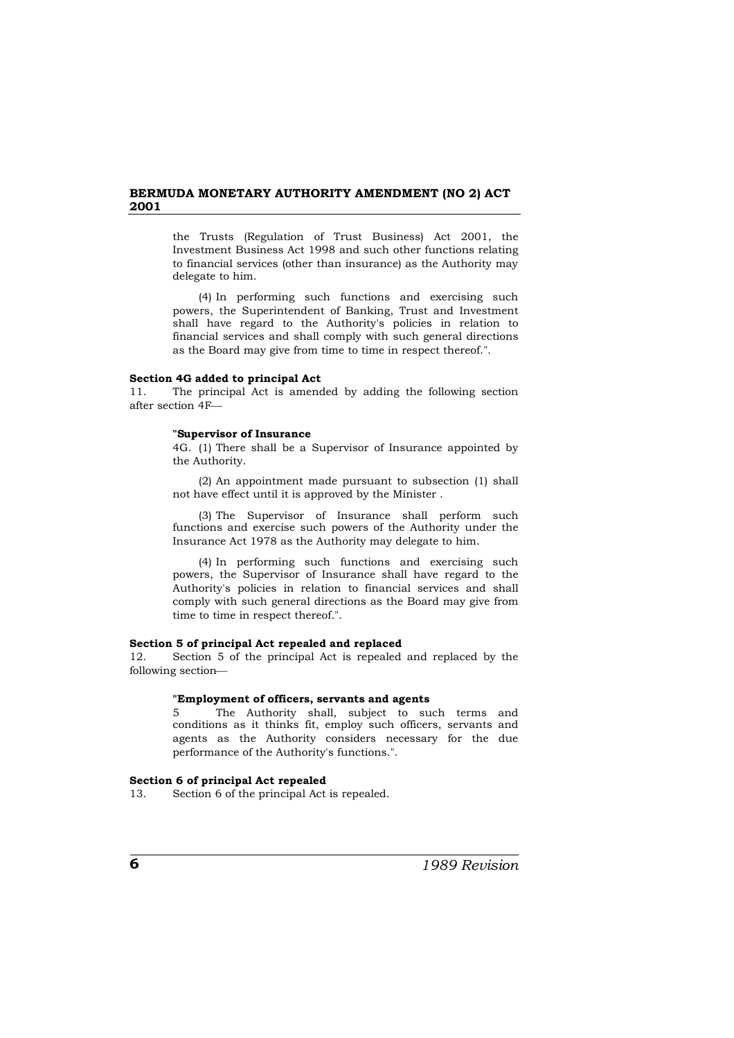the Trusts (Regulation of Trust Business) Act 2001, the Investment Business Act 1998 and such other functions relating to financial services (other than insurance) as the Authority may delegate to him.

(4) In performing such functions and exercising such powers, the Superintendent of Banking, Trust and Investment shall have regard to the Authority's policies in relation to financial services and shall comply with such general directions as the Board may give from time to time in respect thereof.".

### **Section 4G added to principal Act**

11. The principal Act is amended by adding the following section after section 4F

### **"Supervisor of Insurance**

4G. (1) There shall be a Supervisor of Insurance appointed by the Authority.

(2) An appointment made pursuant to subsection (1) shall not have effect until it is approved by the Minister .

(3) The Supervisor of Insurance shall perform such functions and exercise such powers of the Authority under the Insurance Act 1978 as the Authority may delegate to him.

(4) In performing such functions and exercising such powers, the Supervisor of Insurance shall have regard to the Authority's policies in relation to financial services and shall comply with such general directions as the Board may give from time to time in respect thereof.".

### **Section 5 of principal Act repealed and replaced**

12. Section 5 of the principal Act is repealed and replaced by the following section

### **"Employment of officers, servants and agents**

5 The Authority shall, subject to such terms and conditions as it thinks fit, employ such officers, servants and agents as the Authority considers necessary for the due performance of the Authority's functions.".

# **Section 6 of principal Act repealed**

13. Section 6 of the principal Act is repealed.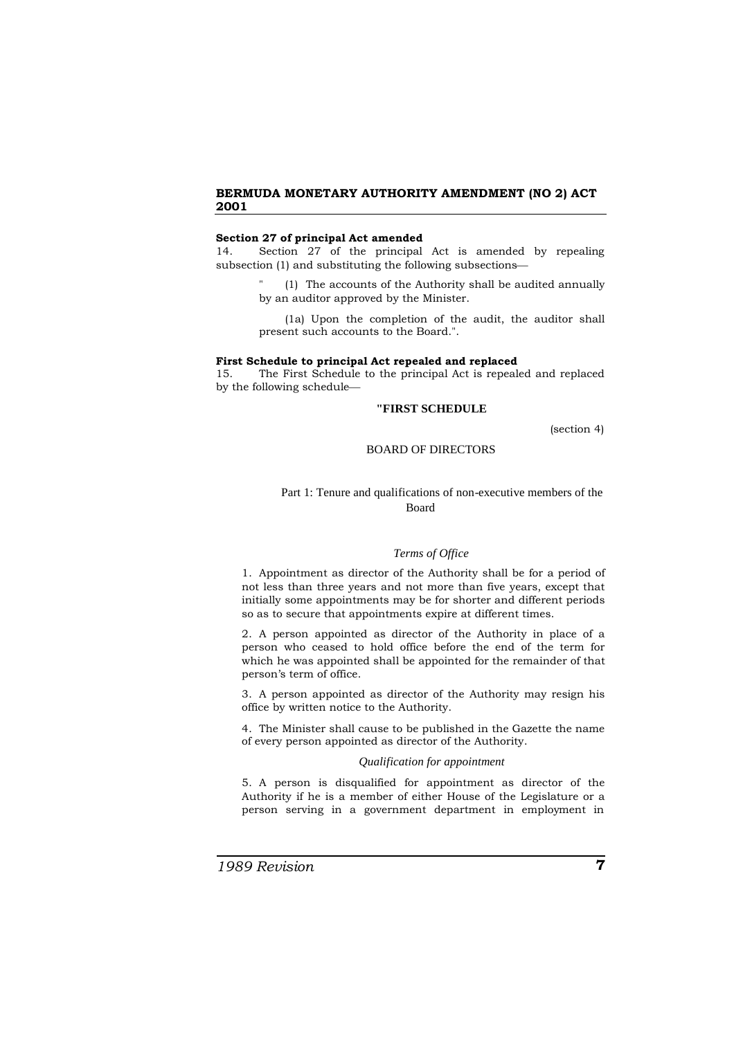### **Section 27 of principal Act amended**

14. Section 27 of the principal Act is amended by repealing subsection (1) and substituting the following subsections

> (1) The accounts of the Authority shall be audited annually by an auditor approved by the Minister.

> (1a) Upon the completion of the audit, the auditor shall present such accounts to the Board.".

#### **First Schedule to principal Act repealed and replaced**

15. The First Schedule to the principal Act is repealed and replaced by the following schedule

# **"FIRST SCHEDULE**

(section 4)

### BOARD OF DIRECTORS

# Part 1: Tenure and qualifications of non-executive members of the Board

#### *Terms of Office*

1. Appointment as director of the Authority shall be for a period of not less than three years and not more than five years, except that initially some appointments may be for shorter and different periods so as to secure that appointments expire at different times.

2. A person appointed as director of the Authority in place of a person who ceased to hold office before the end of the term for which he was appointed shall be appointed for the remainder of that person's term of office.

3. A person appointed as director of the Authority may resign his office by written notice to the Authority.

4. The Minister shall cause to be published in the Gazette the name of every person appointed as director of the Authority.

# *Qualification for appointment*

5. A person is disqualified for appointment as director of the Authority if he is a member of either House of the Legislature or a person serving in a government department in employment in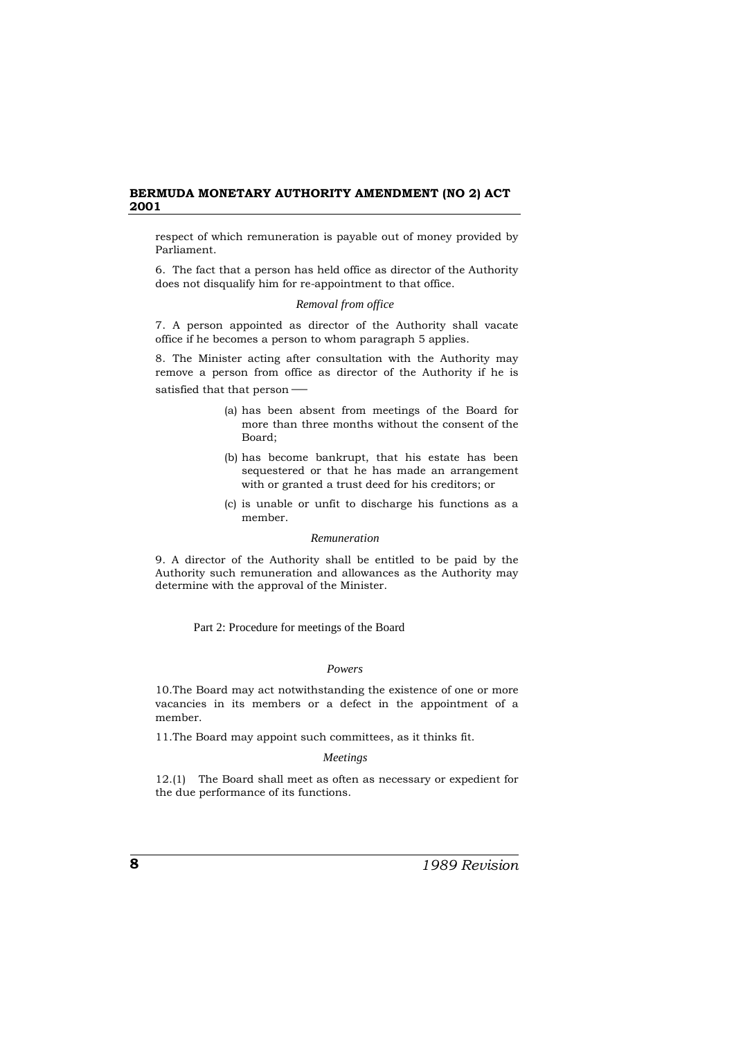respect of which remuneration is payable out of money provided by Parliament.

6. The fact that a person has held office as director of the Authority does not disqualify him for re-appointment to that office.

### *Removal from office*

7. A person appointed as director of the Authority shall vacate office if he becomes a person to whom paragraph 5 applies.

8. The Minister acting after consultation with the Authority may remove a person from office as director of the Authority if he is satisfied that that person -

- (a) has been absent from meetings of the Board for more than three months without the consent of the Board;
- (b) has become bankrupt, that his estate has been sequestered or that he has made an arrangement with or granted a trust deed for his creditors; or
- (c) is unable or unfit to discharge his functions as a member.

#### *Remuneration*

9. A director of the Authority shall be entitled to be paid by the Authority such remuneration and allowances as the Authority may determine with the approval of the Minister.

Part 2: Procedure for meetings of the Board

## *Powers*

10.The Board may act notwithstanding the existence of one or more vacancies in its members or a defect in the appointment of a member.

11.The Board may appoint such committees, as it thinks fit.

## *Meetings*

12.(1) The Board shall meet as often as necessary or expedient for the due performance of its functions.